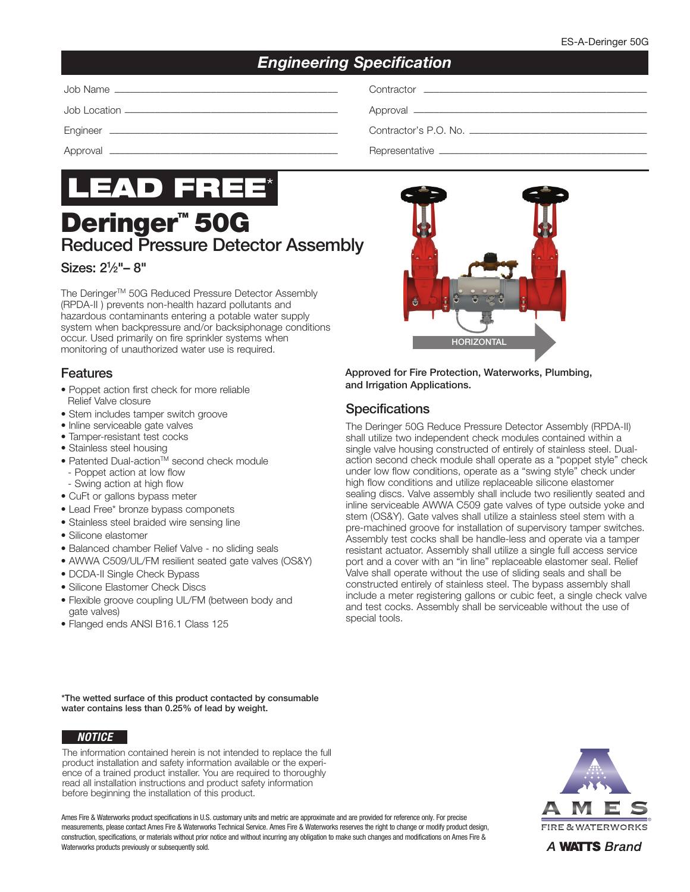## *Engineering Specification*

| Job Name |
|----------|
|          |

Job Location –––––––––––––––––––––––––––––––––––––––––– Approval ––––––––––––––––––––––––––––––––––––––––––––––



# **Deringer<sup>™</sup> 50G** Reduced Pressure Detector Assembly

#### Sizes: 21 ⁄2"– 8"

The Deringer™ 50G Reduced Pressure Detector Assembly (RPDA-II ) prevents non-health hazard pollutants and hazardous contaminants entering a potable water supply system when backpressure and/or backsiphonage conditions occur. Used primarily on fire sprinkler systems when monitoring of unauthorized water use is required.

#### Features

- Poppet action first check for more reliable Relief Valve closure
- Stem includes tamper switch groove
- lnline serviceable gate valves
- Tamper-resistant test cocks
- Stainless steel housing
- Patented Dual-action<sup>™</sup> second check module - Poppet action at low flow
- Swing action at high flow
- CuFt or gallons bypass meter
- Lead Free\* bronze bypass componets
- Stainless steel braided wire sensing line
- Silicone elastomer
- Balanced chamber Relief Valve no sliding seals
- AWWA C509/UL/FM resilient seated gate valves (OS&Y)
- DCDA-II Single Check Bypass
- Silicone Elastomer Check Discs
- Flexible groove coupling UL/FM (between body and gate valves)
- Flanged ends ANSI B16.1 Class 125

Job Name –––––––––––––––––––––––––––––––––––––––––––– Contractor ––––––––––––––––––––––––––––––––––––––––––––

Engineer ––––––––––––––––––––––––––––––––––––––––––––– Contractor's P.O. No. –––––––––––––––––––––––––––––––––––

Approval ––––––––––––––––––––––––––––––––––––––––––––– Representative –––––––––––––––––––––––––––––––––––––––––



Approved for Fire Protection, Waterworks, Plumbing, and Irrigation Applications.

#### **Specifications**

The Deringer 50G Reduce Pressure Detector Assembly (RPDA-II) shall utilize two independent check modules contained within a single valve housing constructed of entirely of stainless steel. Dualaction second check module shall operate as a "poppet style" check under low flow conditions, operate as a "swing style" check under high flow conditions and utilize replaceable silicone elastomer sealing discs. Valve assembly shall include two resiliently seated and inline serviceable AWWA C509 gate valves of type outside yoke and stem (OS&Y). Gate valves shall utilize a stainless steel stem with a pre-machined groove for installation of supervisory tamper switches. Assembly test cocks shall be handle-less and operate via a tamper resistant actuator. Assembly shall utilize a single full access service port and a cover with an "in line" replaceable elastomer seal. Relief Valve shall operate without the use of sliding seals and shall be constructed entirely of stainless steel. The bypass assembly shall include a meter registering gallons or cubic feet, a single check valve and test cocks. Assembly shall be serviceable without the use of special tools.

\*The wetted surface of this product contacted by consumable water contains less than 0.25% of lead by weight.

#### *NOTICE*

The information contained herein is not intended to replace the full product installation and safety information available or the experience of a trained product installer. You are required to thoroughly read all installation instructions and product safety information before beginning the installation of this product.

Ames Fire & Waterworks product specifications in U.S. customary units and metric are approximate and are provided for reference only. For precise measurements, please contact Ames Fire & Waterworks Technical Service. Ames Fire & Waterworks reserves the right to change or modify product design, construction, specifications, or materials without prior notice and without incurring any obligation to make such changes and modifications on Ames Fire & Waterworks products previously or subsequently sold.



A **WATTS** Brand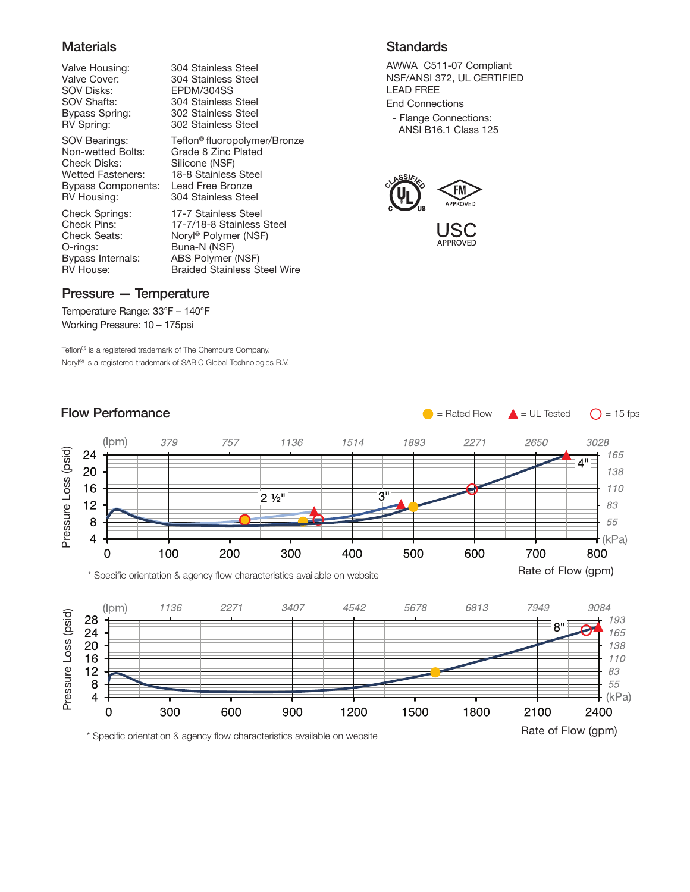#### **Materials**

SOV Disks: EPDM/304SS

Check Disks: Silicone (NSF) Wetted Fasteners: 18-8 Stainless Steel<br>Bypass Components: Lead Free Bronze Bypass Components:<br>RV Housing:

O-rings: Buna-N (NSF)<br>Bypass Internals: ABS Polymer

Valve Housing: 304 Stainless Steel<br>Valve Cover: 304 Stainless Steel 304 Stainless Steel SOV Shafts: 304 Stainless Steel<br>Bypass Spring: 302 Stainless Steel 302 Stainless Steel RV Spring: 302 Stainless Steel

SOV Bearings: Teflon® fluoropolymer/Bronze<br>Non-wetted Bolts: Grade 8 Zinc Plated Grade 8 Zinc Plated 304 Stainless Steel

Check Springs: 17-7 Stainless Steel<br>Check Pins: 17-7/18-8 Stainless Check Pins: 17-7/18-8 Stainless Steel<br>Check Seats: Noryl® Polymer (NSF) Noryl® Polymer (NSF) ABS Polymer (NSF) RV House: Braided Stainless Steel Wire

#### **Standards**

AWWA C511-07 Compliant NSF/ANSI 372, UL CERTIFIED LEAD FREE End Connections

- Flange Connections:

ANSI B16.1 Class 125





 $\bullet$  = Rated Flow  $\bullet$  = UL Tested  $\bullet$  = 15 fps

#### Pressure — Temperature

Temperature Range: 33°F – 140°F Working Pressure: 10 – 175psi

Teflon® is a registered trademark of The Chemours Company. Noryl® is a registered trademark of SABIC Global Technologies B.V.

#### $(lpm)$ 379 757 1136 1514 3028 1893 2271 2650 Pressure Loss (psid) Pressure Loss (psid) 24 165  $4"$ 20 138 16 110  $3"$  $2\frac{1}{2}$ "  $12$ 83 8 55  $\overline{\mathbf{4}}$  $-kPa)$ 100 200 600  $\overline{0}$ 300 400 500 700 800 Rate of Flow (gpm) \* Specific orientation & agency flow characteristics available on website (Ipm) 1136 2271 3407 4542 5678 6813 7949 9084 Pressure Loss (psid) Pressure Loss (psid) 28 193  $8"$ 24 165 20 138 16 110  $12$ 83 8 55 4  $(kPa)$  $\mathbf 0$ 300 600 900 1200 1500 1800 2100 2400 Rate of Flow (gpm) \* Specific orientation & agency flow characteristics available on website

### Flow Performance